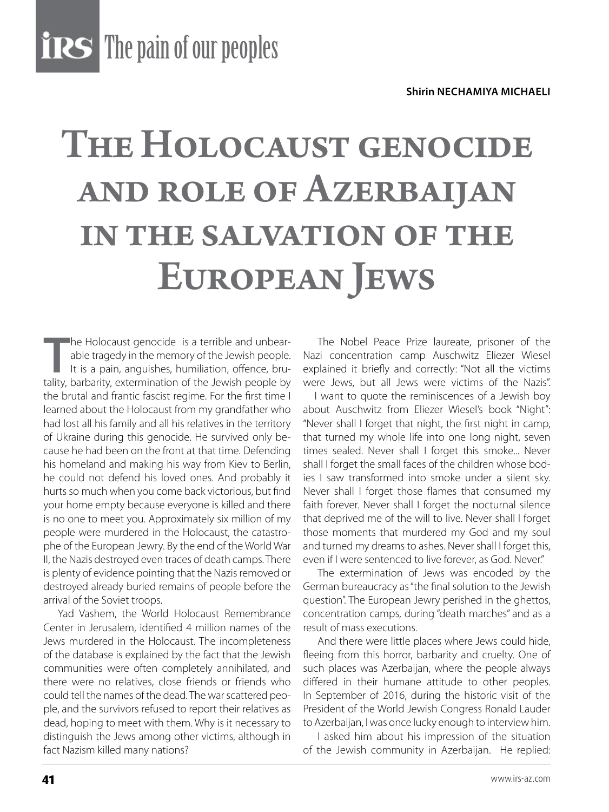**THES** The pain of our peoples

## The Holocaust genocide and role of Azerbaijan in the salvation of the European Jews

The Holocaust genocide is a terrible and unbear-<br>able tragedy in the memory of the Jewish people.<br>It is a pain, anguishes, humiliation, offence, bru-<br>tality, barbarity, extermination of the Jewish people by he Holocaust genocide is a terrible and unbearable tragedy in the memory of the Jewish people. It is a pain, anguishes, humiliation, offence, bruthe brutal and frantic fascist regime. For the first time I learned about the Holocaust from my grandfather who had lost all his family and all his relatives in the territory of Ukraine during this genocide. He survived only because he had been on the front at that time. Defending his homeland and making his way from Kiev to Berlin, he could not defend his loved ones. And probably it hurts so much when you come back victorious, but find your home empty because everyone is killed and there is no one to meet you. Approximately six million of my people were murdered in the Holocaust, the catastrophe of the European Jewry. By the end of the World War II, the Nazis destroyed even traces of death camps. There is plenty of evidence pointing that the Nazis removed or destroyed already buried remains of people before the arrival of the Soviet troops.

Yad Vashem, the World Holocaust Remembrance Center in Jerusalem, identified 4 million names of the Jews murdered in the Holocaust. The incompleteness of the database is explained by the fact that the Jewish communities were often completely annihilated, and there were no relatives, close friends or friends who could tell the names of the dead. The war scattered people, and the survivors refused to report their relatives as dead, hoping to meet with them. Why is it necessary to distinguish the Jews among other victims, although in fact Nazism killed many nations?

The Nobel Peace Prize laureate, prisoner of the Nazi concentration camp Auschwitz Eliezer Wiesel explained it briefly and correctly: "Not all the victims were Jews, but all Jews were victims of the Nazis".

 I want to quote the reminiscences of a Jewish boy about Auschwitz from Eliezer Wiesel's book "Night": "Never shall I forget that night, the first night in camp, that turned my whole life into one long night, seven times sealed. Never shall I forget this smoke... Never shall I forget the small faces of the children whose bodies I saw transformed into smoke under a silent sky. Never shall I forget those flames that consumed my faith forever. Never shall I forget the nocturnal silence that deprived me of the will to live. Never shall I forget those moments that murdered my God and my soul and turned my dreams to ashes. Never shall I forget this, even if I were sentenced to live forever, as God. Never."

The extermination of Jews was encoded by the German bureaucracy as "the final solution to the Jewish question". The European Jewry perished in the ghettos, concentration camps, during "death marches" and as a result of mass executions.

And there were little places where Jews could hide, fleeing from this horror, barbarity and cruelty. One of such places was Azerbaijan, where the people always differed in their humane attitude to other peoples. In September of 2016, during the historic visit of the President of the World Jewish Congress Ronald Lauder to Azerbaijan, I was once lucky enough to interview him.

I asked him about his impression of the situation of the Jewish community in Azerbaijan. He replied: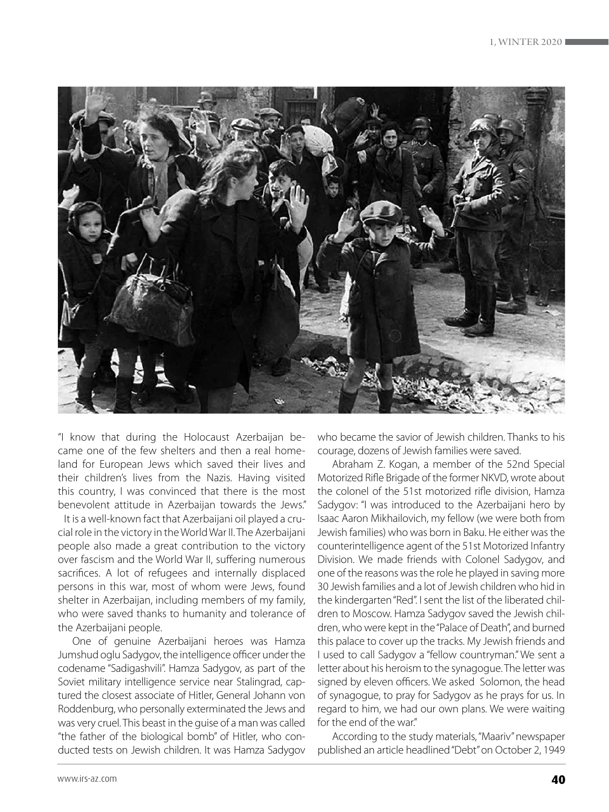

"I know that during the Holocaust Azerbaijan became one of the few shelters and then a real homeland for European Jews which saved their lives and their children's lives from the Nazis. Having visited this country, I was convinced that there is the most benevolent attitude in Azerbaijan towards the Jews."

 It is a well-known fact that Azerbaijani oil played a crucial role in the victory in the World War II. The Azerbaijani people also made a great contribution to the victory over fascism and the World War II, suffering numerous sacrifices. A lot of refugees and internally displaced persons in this war, most of whom were Jews, found shelter in Azerbaijan, including members of my family, who were saved thanks to humanity and tolerance of the Azerbaijani people.

One of genuine Azerbaijani heroes was Hamza Jumshud oglu Sadygov, the intelligence officer under the codename "Sadigashvili". Hamza Sadygov, as part of the Soviet military intelligence service near Stalingrad, captured the closest associate of Hitler, General Johann von Roddenburg, who personally exterminated the Jews and was very cruel. This beast in the guise of a man was called "the father of the biological bomb" of Hitler, who conducted tests on Jewish children. It was Hamza Sadygov

who became the savior of Jewish children. Thanks to his courage, dozens of Jewish families were saved.

Abraham Z. Kogan, a member of the 52nd Special Motorized Rifle Brigade of the former NKVD, wrote about the colonel of the 51st motorized rifle division, Hamza Sadygov: "I was introduced to the Azerbaijani hero by Isaac Aaron Mikhailovich, my fellow (we were both from Jewish families) who was born in Baku. He either was the counterintelligence agent of the 51st Motorized Infantry Division. We made friends with Colonel Sadygov, and one of the reasons was the role he played in saving more 30 Jewish families and a lot of Jewish children who hid in the kindergarten "Red". I sent the list of the liberated children to Moscow. Hamza Sadygov saved the Jewish children, who were kept in the "Palace of Death", and burned this palace to cover up the tracks. My Jewish friends and I used to call Sadygov a "fellow countryman." We sent a letter about his heroism to the synagogue. The letter was signed by eleven officers. We asked Solomon, the head of synagogue, to pray for Sadygov as he prays for us. In regard to him, we had our own plans. We were waiting for the end of the war."

According to the study materials, "Maariv" newspaper published an article headlined "Debt" on October 2, 1949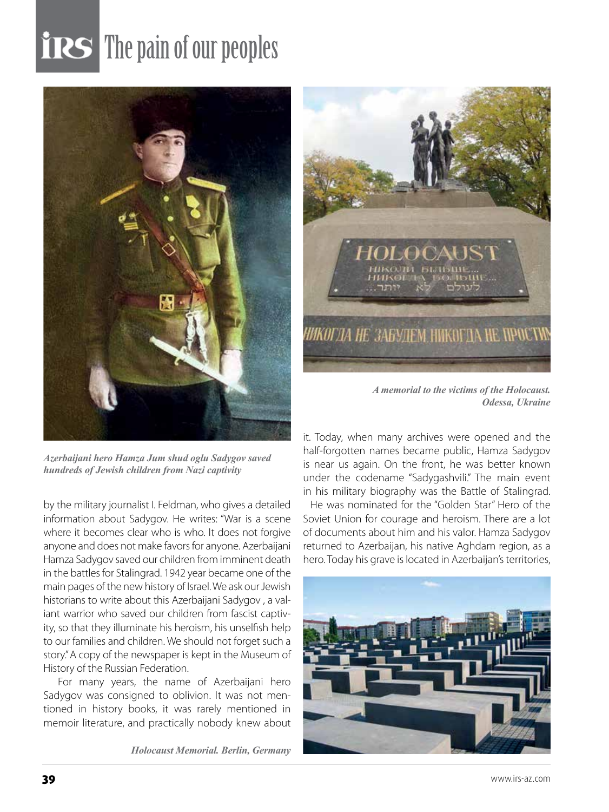## **TRS** The pain of our peoples



*Azerbaijani hero Hamza Jum shud oglu Sadygov saved hundreds of Jewish children from Nazi captivity*

by the military journalist I. Feldman, who gives a detailed information about Sadygov. He writes: "War is a scene where it becomes clear who is who. It does not forgive anyone and does not make favors for anyone. Azerbaijani Hamza Sadygov saved our children from imminent death in the battles for Stalingrad. 1942 year became one of the main pages of the new history of Israel. We ask our Jewish historians to write about this Azerbaijani Sadygov , a valiant warrior who saved our children from fascist captivity, so that they illuminate his heroism, his unselfish help to our families and children. We should not forget such a story." A copy of the newspaper is kept in the Museum of History of the Russian Federation.

For many years, the name of Azerbaijani hero Sadygov was consigned to oblivion. It was not mentioned in history books, it was rarely mentioned in memoir literature, and practically nobody knew about

*Holocaust Memorial. Berlin, Germany*



*A memorial to the victims of the Holocaust. Odessa, Ukraine*

it. Today, when many archives were opened and the half-forgotten names became public, Hamza Sadygov is near us again. On the front, he was better known under the codename "Sadygashvili." The main event in his military biography was the Battle of Stalingrad.

 He was nominated for the "Golden Star" Hero of the Soviet Union for courage and heroism. There are a lot of documents about him and his valor. Hamza Sadygov returned to Azerbaijan, his native Aghdam region, as a hero. Today his grave is located in Azerbaijan's territories,

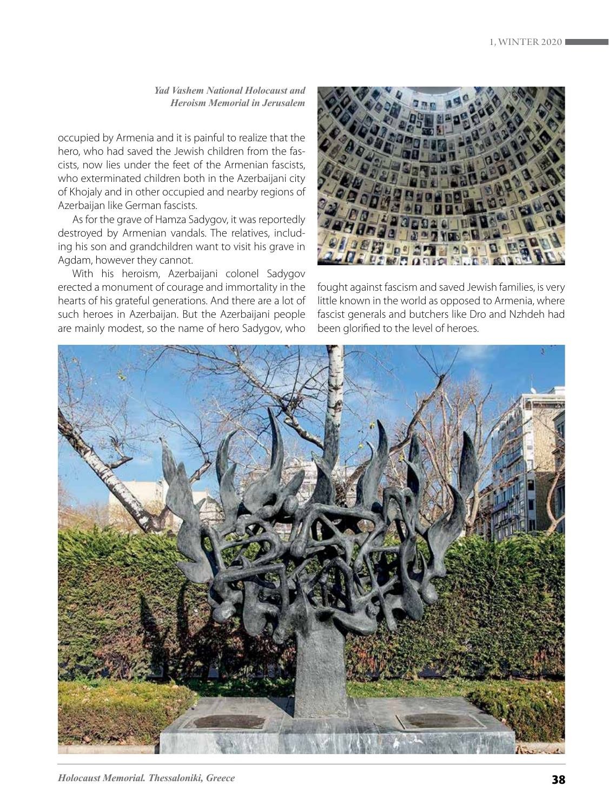*Yad Vashem National Holocaust and Heroism Memorial in Jerusalem*

occupied by Armenia and it is painful to realize that the hero, who had saved the Jewish children from the fascists, now lies under the feet of the Armenian fascists, who exterminated children both in the Azerbaijani city of Khojaly and in other occupied and nearby regions of Azerbaijan like German fascists.

As for the grave of Hamza Sadygov, it was reportedly destroyed by Armenian vandals. The relatives, including his son and grandchildren want to visit his grave in Agdam, however they cannot.

With his heroism, Azerbaijani colonel Sadygov erected a monument of courage and immortality in the hearts of his grateful generations. And there are a lot of such heroes in Azerbaijan. But the Azerbaijani people are mainly modest, so the name of hero Sadygov, who



fought against fascism and saved Jewish families, is very little known in the world as opposed to Armenia, where fascist generals and butchers like Dro and Nzhdeh had been glorified to the level of heroes.

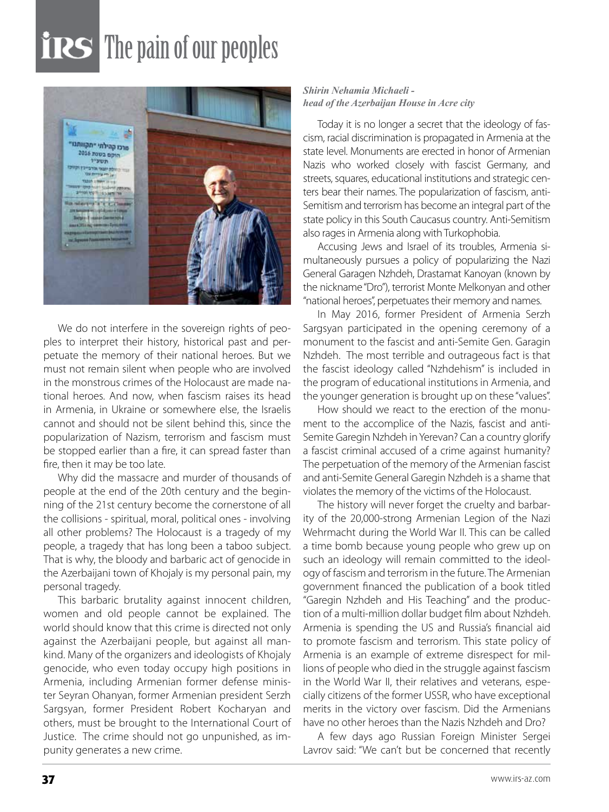## **TRS** The pain of our peoples



We do not interfere in the sovereign rights of peoples to interpret their history, historical past and perpetuate the memory of their national heroes. But we must not remain silent when people who are involved in the monstrous crimes of the Holocaust are made national heroes. And now, when fascism raises its head in Armenia, in Ukraine or somewhere else, the Israelis cannot and should not be silent behind this, since the popularization of Nazism, terrorism and fascism must be stopped earlier than a fire, it can spread faster than fire, then it may be too late.

Why did the massacre and murder of thousands of people at the end of the 20th century and the beginning of the 21st century become the cornerstone of all the collisions - spiritual, moral, political ones - involving all other problems? The Holocaust is a tragedy of my people, a tragedy that has long been a taboo subject. That is why, the bloody and barbaric act of genocide in the Azerbaijani town of Khojaly is my personal pain, my personal tragedy.

This barbaric brutality against innocent children, women and old people cannot be explained. The world should know that this crime is directed not only against the Azerbaijani people, but against all mankind. Many of the organizers and ideologists of Khojaly genocide, who even today occupy high positions in Armenia, including Armenian former defense minister Seyran Ohanyan, former Armenian president Serzh Sargsyan, former President Robert Kocharyan and others, must be brought to the International Court of Justice. The crime should not go unpunished, as impunity generates a new crime.

## *Shirin Nehamia Michaeli head of the Azerbaijan House in Acre city*

Today it is no longer a secret that the ideology of fascism, racial discrimination is propagated in Armenia at the state level. Monuments are erected in honor of Armenian Nazis who worked closely with fascist Germany, and streets, squares, educational institutions and strategic centers bear their names. The popularization of fascism, anti-Semitism and terrorism has become an integral part of the state policy in this South Caucasus country. Anti-Semitism also rages in Armenia along with Turkophobia.

Accusing Jews and Israel of its troubles, Armenia simultaneously pursues a policy of popularizing the Nazi General Garagen Nzhdeh, Drastamat Kanoyan (known by the nickname "Dro"), terrorist Monte Melkonyan and other "national heroes", perpetuates their memory and names.

In May 2016, former President of Armenia Serzh Sargsyan participated in the opening ceremony of a monument to the fascist and anti-Semite Gen. Garagin Nzhdeh. The most terrible and outrageous fact is that the fascist ideology called "Nzhdehism" is included in the program of educational institutions in Armenia, and the younger generation is brought up on these "values".

How should we react to the erection of the monument to the accomplice of the Nazis, fascist and anti-Semite Garegin Nzhdeh in Yerevan? Can a country glorify a fascist criminal accused of a crime against humanity? The perpetuation of the memory of the Armenian fascist and anti-Semite General Garegin Nzhdeh is a shame that violates the memory of the victims of the Holocaust.

The history will never forget the cruelty and barbarity of the 20,000-strong Armenian Legion of the Nazi Wehrmacht during the World War II. This can be called a time bomb because young people who grew up on such an ideology will remain committed to the ideology of fascism and terrorism in the future. The Armenian government financed the publication of a book titled "Garegin Nzhdeh and His Teaching" and the production of a multi-million dollar budget film about Nzhdeh. Armenia is spending the US and Russia's financial aid to promote fascism and terrorism. This state policy of Armenia is an example of extreme disrespect for millions of people who died in the struggle against fascism in the World War II, their relatives and veterans, especially citizens of the former USSR, who have exceptional merits in the victory over fascism. Did the Armenians have no other heroes than the Nazis Nzhdeh and Dro?

A few days ago Russian Foreign Minister Sergei Lavrov said: "We can't but be concerned that recently